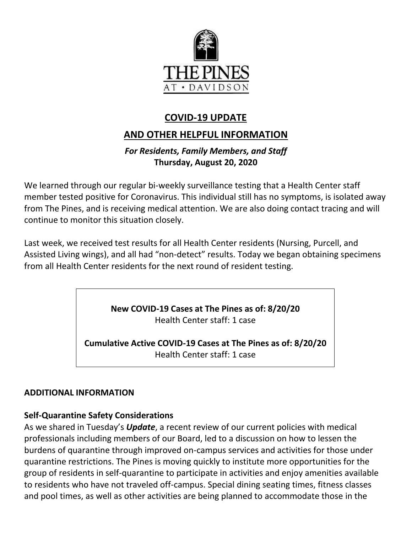

# **COVID-19 UPDATE**

## **AND OTHER HELPFUL INFORMATION**

### *For Residents, Family Members, and Staff* **Thursday, August 20, 2020**

We learned through our regular bi-weekly surveillance testing that a Health Center staff member tested positive for Coronavirus. This individual still has no symptoms, is isolated away from The Pines, and is receiving medical attention. We are also doing contact tracing and will continue to monitor this situation closely.

Last week, we received test results for all Health Center residents (Nursing, Purcell, and Assisted Living wings), and all had "non-detect" results. Today we began obtaining specimens from all Health Center residents for the next round of resident testing.

> **New COVID-19 Cases at The Pines as of: 8/20/20** Health Center staff: 1 case

**Cumulative Active COVID-19 Cases at The Pines as of: 8/20/20** Health Center staff: 1 case

#### **ADDITIONAL INFORMATION**

#### **Self-Quarantine Safety Considerations**

As we shared in Tuesday's *Update*, a recent review of our current policies with medical professionals including members of our Board, led to a discussion on how to lessen the burdens of quarantine through improved on-campus services and activities for those under quarantine restrictions. The Pines is moving quickly to institute more opportunities for the group of residents in self-quarantine to participate in activities and enjoy amenities available to residents who have not traveled off-campus. Special dining seating times, fitness classes and pool times, as well as other activities are being planned to accommodate those in the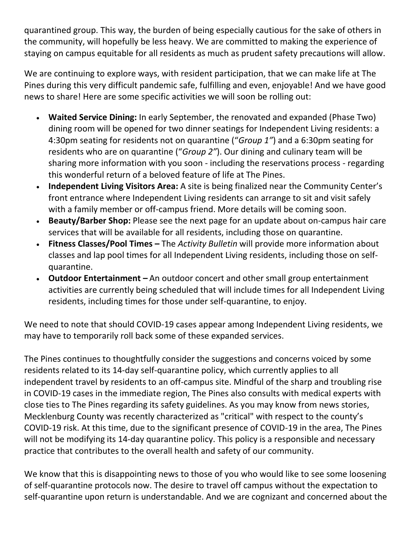quarantined group. This way, the burden of being especially cautious for the sake of others in the community, will hopefully be less heavy. We are committed to making the experience of staying on campus equitable for all residents as much as prudent safety precautions will allow.

We are continuing to explore ways, with resident participation, that we can make life at The Pines during this very difficult pandemic safe, fulfilling and even, enjoyable! And we have good news to share! Here are some specific activities we will soon be rolling out:

- **Waited Service Dining:** In early September, the renovated and expanded (Phase Two) dining room will be opened for two dinner seatings for Independent Living residents: a 4:30pm seating for residents not on quarantine ("*Group 1"*) and a 6:30pm seating for residents who are on quarantine ("*Group 2"*). Our dining and culinary team will be sharing more information with you soon - including the reservations process - regarding this wonderful return of a beloved feature of life at The Pines.
- **Independent Living Visitors Area:** A site is being finalized near the Community Center's front entrance where Independent Living residents can arrange to sit and visit safely with a family member or off-campus friend. More details will be coming soon.
- **Beauty/Barber Shop:** Please see the next page for an update about on-campus hair care services that will be available for all residents, including those on quarantine.
- **Fitness Classes/Pool Times –** The *Activity Bulletin* will provide more information about classes and lap pool times for all Independent Living residents, including those on selfquarantine.
- **Outdoor Entertainment –** An outdoor concert and other small group entertainment activities are currently being scheduled that will include times for all Independent Living residents, including times for those under self-quarantine, to enjoy.

We need to note that should COVID-19 cases appear among Independent Living residents, we may have to temporarily roll back some of these expanded services.

The Pines continues to thoughtfully consider the suggestions and concerns voiced by some residents related to its 14-day self-quarantine policy, which currently applies to all independent travel by residents to an off-campus site. Mindful of the sharp and troubling rise in COVID-19 cases in the immediate region, The Pines also consults with medical experts with close ties to The Pines regarding its safety guidelines. As you may know from news stories, Mecklenburg County was recently characterized as "critical" with respect to the county's COVID-19 risk. At this time, due to the significant presence of COVID-19 in the area, The Pines will not be modifying its 14-day quarantine policy. This policy is a responsible and necessary practice that contributes to the overall health and safety of our community.

We know that this is disappointing news to those of you who would like to see some loosening of self-quarantine protocols now. The desire to travel off campus without the expectation to self-quarantine upon return is understandable. And we are cognizant and concerned about the